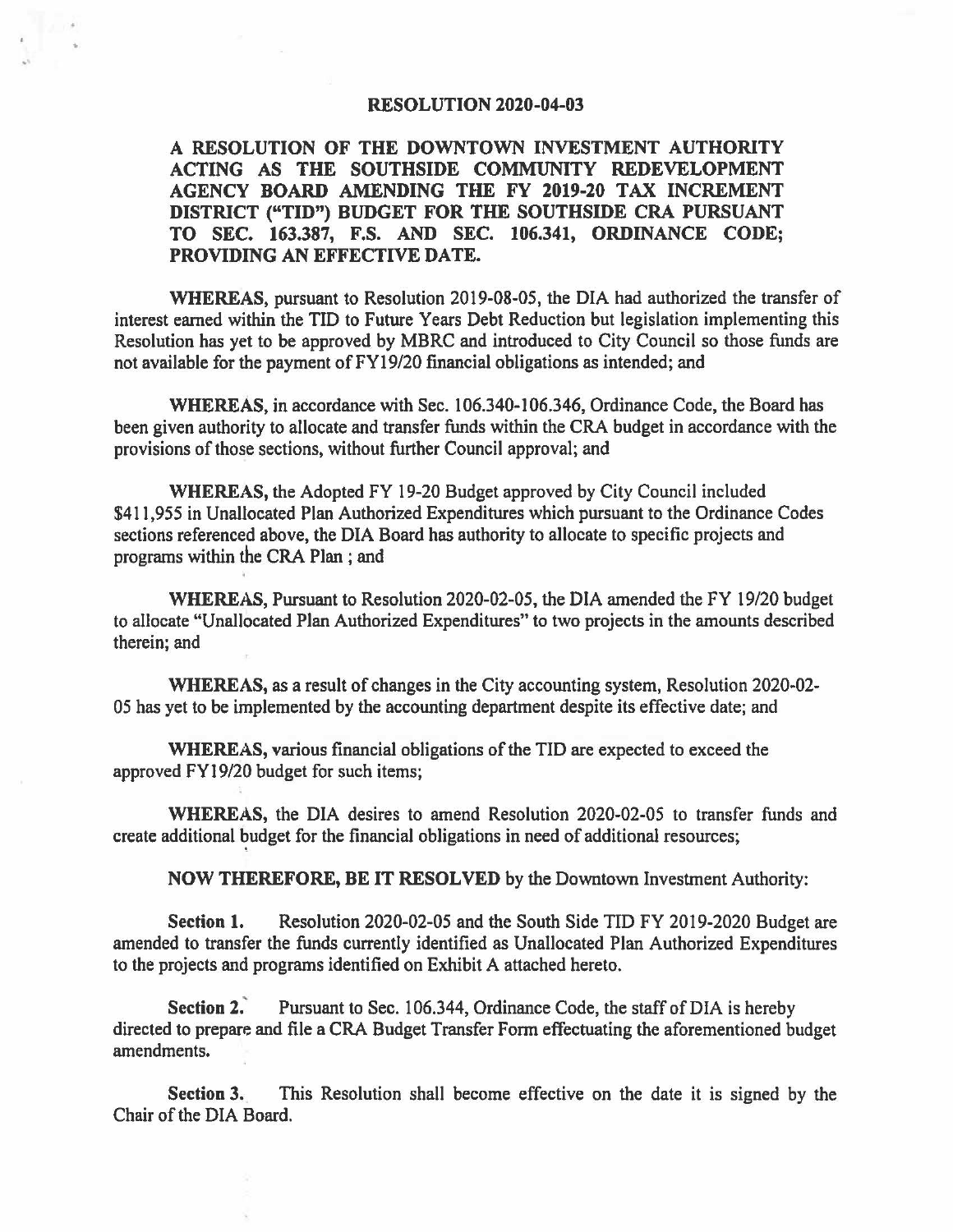## **RESOLUTION 2020-04-03**

**A RESOLUTION OF THE DOWNTOWN INVESTMENT AUTHORITY ACTING AS THE SOUTHSIDE COMMUNITY REDEVELOPMENT AGENCY BOARD AMENDING THE FY 2019-20 TAX INCREMENT DISTRICT ("TID") BUDGET FOR THE SOUTHSIDE CRA PURSUANT TO SEC. 163.387, F.S. AND SEC. 106.341, ORDINANCE CODE; PROVIDING AN EFFECTIVE DATE.** 

**WHEREAS,** pursuant to Resolution 2019-08-05, the DIA had authorized the transfer of interest earned within the TIO to Future Years Debt Reduction but legislation implementing this Resolution has yet to be approved by MBRC and introduced to City Council so those funds are not available for the payment of FYI 9/20 financial obligations as intended; and

**WHEREAS,** in accordance with Sec. 106.340-106.346, Ordinance Code, the Board has been given authority to allocate and transfer funds within the CRA budget in accordance with the provisions of those sections, without further Council approval; and

**WHEREAS,** the Adopted FY 19-20 Budget approved by City Council included \$411,955 in Unallocated Plan Authorized Expenditures which pursuant to the Ordinance Codes sections referenced above, the DIA Board has authority to allocate to specific projects and programs within the CRA Plan ; and

**WHEREAS,** Pursuant to Resolution 2020-02-05, the DIA amended the FY 19/20 budget to allocate "Unallocated Plan Authorized Expenditures" to two projects in the amounts described therein; and

**WHEREAS,** as a result of changes in the City accounting system, Resolution 2020-02- 05 has yet to be implemented by the accounting department despite its effective date; and

**WHEREAS,** various financial obligations of the TIO are expected to exceed the approved FYI 9/20 budget for such items;

'

s,

**WHEREAS,** the DIA desires to amend Resolution 2020-02-05 to transfer funds and create additional budget for the financial obligations in need of additional resources;

**NOW THEREFORE, BE IT RESOLVED** by the Downtown Investment Authority:

**Section 1.** Resolution 2020-02-05 and the South Side TIO FY 2019-2020 Budget are amended to transfer the funds currently identified as Unallocated Plan Authorized Expenditures to the projects and programs identified on Exhibit A attached hereto.

**Section 2.'** Pursuant to Sec. 106.344, Ordinance Code, the staff of DIA is hereby directed to prepare and file a CRA Budget Transfer Form effectuating the aforementioned budget amendments.

**Section 3.** This Resolution shall become effective on the date it is signed by the Chair of the DIA Board.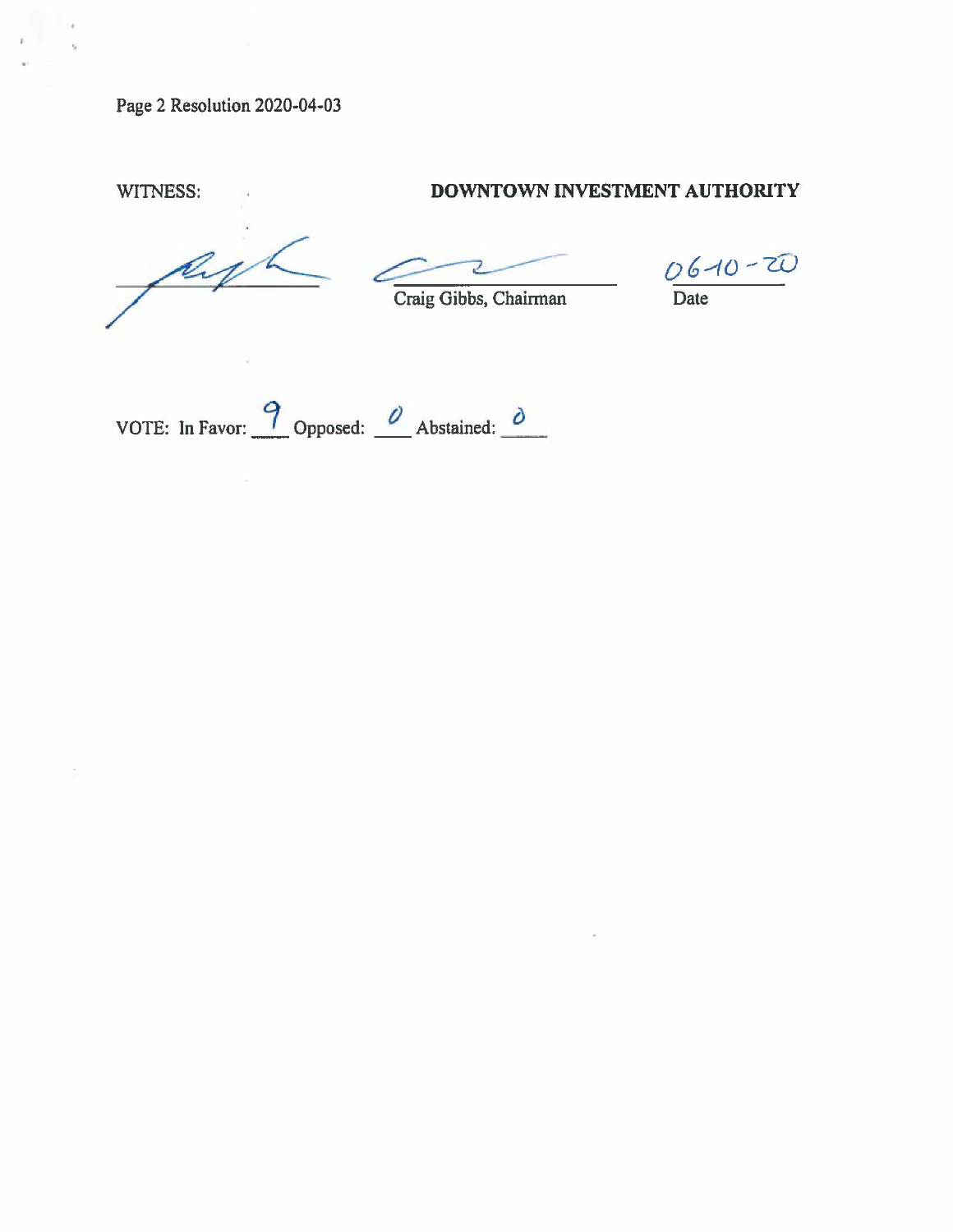Page 2 Resolution 2020-04-03

## WITNESS: **DOWNTOWN INVESTMENT AUTHORITY**

Craig Gibbs, Chairman

~ *06\_,,,,o --W* 

VOTE: In Favor:  $\frac{9}{2}$  Opposed:  $\frac{0}{2}$  Abstained:  $\frac{0}{2}$